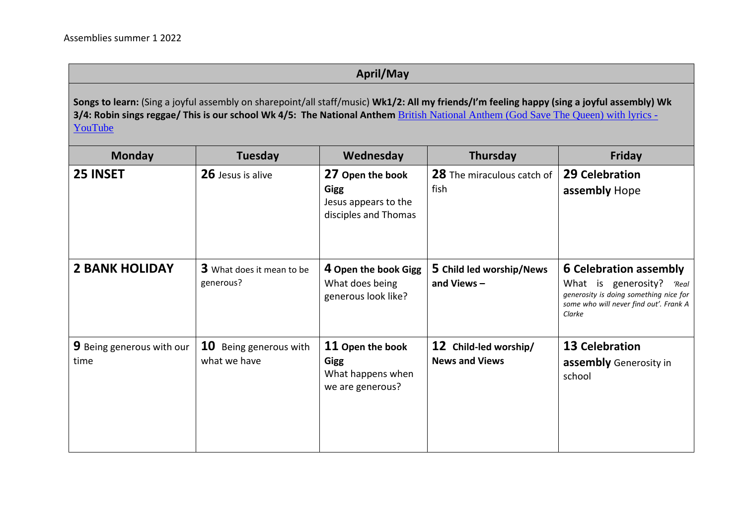## **April/May**

**Songs to learn:** (Sing a joyful assembly on sharepoint/all staff/music) **Wk1/2: All my friends/I'm feeling happy (sing a joyful assembly) Wk 3/4: Robin sings reggae/ This is our school Wk 4/5: The National Anthem [British National Anthem \(God Save The Queen\) with lyrics -](https://www.youtube.com/watch?v=f-UIjB6FWgk)** [YouTube](https://www.youtube.com/watch?v=f-UIjB6FWgk)

| <b>Monday</b>                            | Tuesday                                          | Wednesday                                                                       | Thursday                                       | <b>Friday</b>                                                                                                                                               |
|------------------------------------------|--------------------------------------------------|---------------------------------------------------------------------------------|------------------------------------------------|-------------------------------------------------------------------------------------------------------------------------------------------------------------|
| 25 INSET                                 | 26 Jesus is alive                                | 27 Open the book<br><b>Gigg</b><br>Jesus appears to the<br>disciples and Thomas | 28 The miraculous catch of<br>fish             | <b>29 Celebration</b><br>assembly Hope                                                                                                                      |
| <b>2 BANK HOLIDAY</b>                    | 3 What does it mean to be<br>generous?           | 4 Open the book Gigg<br>What does being<br>generous look like?                  | 5 Child led worship/News<br>and Views $-$      | <b>6 Celebration assembly</b><br>What is generosity?<br>'Real<br>generosity is doing something nice for<br>some who will never find out'. Frank A<br>Clarke |
| <b>9</b> Being generous with our<br>time | <b>10</b><br>Being generous with<br>what we have | 11 Open the book<br>Gigg<br>What happens when<br>we are generous?               | 12 Child-led worship/<br><b>News and Views</b> | <b>13 Celebration</b><br><b>assembly</b> Generosity in<br>school                                                                                            |